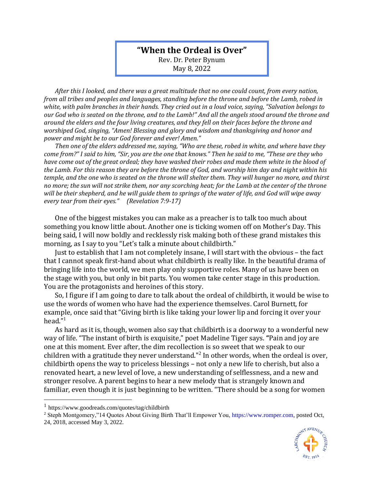## **"When the Ordeal is Over"**

Rev. Dr. Peter Bynum May 8, 2022

*After this I looked, and there was a great multitude that no one could count, from every nation, from all tribes and peoples and languages, standing before the throne and before the Lamb, robed in white, with palm branches in their hands. They cried out in a loud voice, saying, "Salvation belongs to our God who is seated on the throne, and to the Lamb!" And all the angels stood around the throne and around the elders and the four living creatures, and they fell on their faces before the throne and worshiped God, singing, "Amen! Blessing and glory and wisdom and thanksgiving and honor and power and might be to our God forever and ever! Amen."*

*Then one of the elders addressed me, saying, "Who are these, robed in white, and where have they come from?" I said to him, "Sir, you are the one that knows." Then he said to me, "These are they who have come out of the great ordeal; they have washed their robes and made them white in the blood of the Lamb. For this reason they are before the throne of God, and worship him day and night within his temple, and the one who is seated on the throne will shelter them. They will hunger no more, and thirst no more; the sun will not strike them, nor any scorching heat; for the Lamb at the center of the throne will be their shepherd, and he will guide them to springs of the water of life, and God will wipe away every tear from their eyes." (Revelation 7:9-17)*

One of the biggest mistakes you can make as a preacher is to talk too much about something you know little about. Another one is ticking women off on Mother's Day. This being said, I will now boldly and recklessly risk making both of these grand mistakes this morning, as I say to you "Let's talk a minute about childbirth."

Just to establish that I am not completely insane, I will start with the obvious – the fact that I cannot speak first-hand about what childbirth is really like. In the beautiful drama of bringing life into the world, we men play only supportive roles. Many of us have been on the stage with you, but only in bit parts. You women take center stage in this production. You are the protagonists and heroines of this story.

So, I figure if I am going to dare to talk about the ordeal of childbirth, it would be wise to use the words of women who have had the experience themselves. Carol Burnett, for example, once said that "Giving birth is like taking your lower lip and forcing it over your head." 1

As hard as it is, though, women also say that childbirth is a doorway to a wonderful new way of life. "The instant of birth is exquisite," poet Madeline Tiger says. **"**Pain and joy are one at this moment. Ever after, the dim recollection is so sweet that we speak to our children with a gratitude they never understand."<sup>2</sup> In other words, when the ordeal is over, childbirth opens the way to priceless blessings – not only a new life to cherish, but also a renovated heart, a new level of love, a new understanding of selflessness, and a new and stronger resolve. A parent begins to hear a new melody that is strangely known and familiar, even though it is just beginning to be written. "There should be a song for women

<sup>2</sup> Steph Montgomery,"14 Quotes About Giving Birth That'll Empower You[, https://www.romper.com,](https://www.romper.com/) posted Oct, 24, 2018, accessed May 3, 2022.



<sup>1</sup> https://www.goodreads.com/quotes/tag/childbirth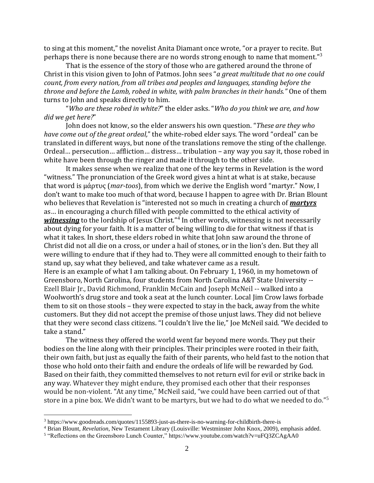to sing at this moment," the novelist Anita Diamant once wrote, "or a prayer to recite. But perhaps there is none because there are no words strong enough to name that moment."<sup>3</sup>

That is the essence of the story of those who are gathered around the throne of Christ in this vision given to John of Patmos. John sees "*a great multitude that no one could count, from every nation, from all tribes and peoples and languages, standing before the throne and before the Lamb, robed in white, with palm branches in their hands."* One of them turns to John and speaks directly to him.

"*Who are these robed in white?*" the elder asks. "*Who do you think we are, and how did we get here?*"

John does not know, so the elder answers his own question. "*These are they who have come out of the great ordeal,*" the white-robed elder says. The word "ordeal" can be translated in different ways, but none of the translations remove the sting of the challenge. Ordeal… persecution… affliction… distress… tribulation – any way you say it, those robed in white have been through the ringer and made it through to the other side.

It makes sense when we realize that one of the key terms in Revelation is the word "witness." The pronunciation of the Greek word gives a hint at what is at stake, because that word is μάρτυς (*mar-toos*), from which we derive the English word "martyr." Now, I don't want to make too much of that word, because I happen to agree with Dr. Brian Blount who believes that Revelation is "interested not so much in creating a church of *martyrs* as… in encouraging a church filled with people committed to the ethical activity of witnessing to the lordship of Jesus Christ."<sup>4</sup> In other words, witnessing is not necessarily about dying for your faith. It is a matter of being willing to die for that witness if that is what it takes. In short, these elders robed in white that John saw around the throne of Christ did not all die on a cross, or under a hail of stones, or in the lion's den. But they all were willing to endure that if they had to. They were all committed enough to their faith to stand up, say what they believed, and take whatever came as a result. Here is an example of what I am talking about. On February 1, 1960, in my hometown of Greensboro, North Carolina, four students from North Carolina A&T State University -- Ezell Blair Jr., David Richmond, Franklin McCain and Joseph McNeil -- walked into a Woolworth's drug store and took a seat at the lunch counter. Local Jim Crow laws forbade them to sit on those stools – they were expected to stay in the back, away from the white customers. But they did not accept the premise of those unjust laws. They did not believe that they were second class citizens. "I couldn't live the lie," Joe McNeil said. "We decided to take a stand."

The witness they offered the world went far beyond mere words. They put their bodies on the line along with their principles. Their principles were rooted in their faith, their own faith, but just as equally the faith of their parents, who held fast to the notion that those who hold onto their faith and endure the ordeals of life will be rewarded by God. Based on their faith, they committed themselves to not return evil for evil or strike back in any way. Whatever they might endure, they promised each other that their responses would be non-violent. "At any time," McNeil said, "we could have been carried out of that store in a pine box. We didn't want to be martyrs, but we had to do what we needed to do."<sup>5</sup>

<sup>3</sup> https://www.goodreads.com/quotes/1155893-just-as-there-is-no-warning-for-childbirth-there-is

<sup>4</sup> Brian Blount, *Revelation*, New Testament Library (Louisville: Westminster John Knox, 2009), emphasis added.

<sup>5</sup> "Reflections on the Greensboro Lunch Counter," https://www.youtube.com/watch?v=uFQ3ZCAgAA0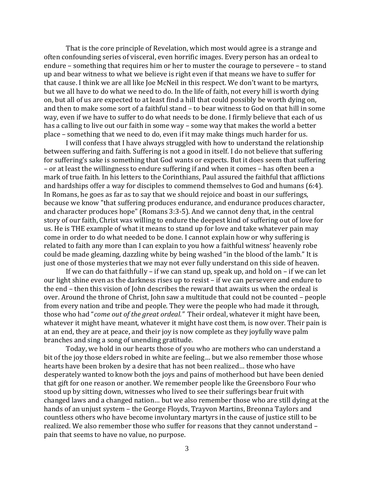That is the core principle of Revelation, which most would agree is a strange and often confounding series of visceral, even horrific images. Every person has an ordeal to endure – something that requires him or her to muster the courage to persevere – to stand up and bear witness to what we believe is right even if that means we have to suffer for that cause. I think we are all like Joe McNeil in this respect. We don't want to be martyrs, but we all have to do what we need to do. In the life of faith, not every hill is worth dying on, but all of us are expected to at least find a hill that could possibly be worth dying on, and then to make some sort of a faithful stand – to bear witness to God on that hill in some way, even if we have to suffer to do what needs to be done. I firmly believe that each of us has a calling to live out our faith in some way – some way that makes the world a better place – something that we need to do, even if it may make things much harder for us.

I will confess that I have always struggled with how to understand the relationship between suffering and faith. Suffering is not a good in itself. I do not believe that suffering for suffering's sake is something that God wants or expects. But it does seem that suffering – or at least the willingness to endure suffering if and when it comes – has often been a mark of true faith. In his letters to the Corinthians, Paul assured the faithful that afflictions and hardships offer a way for disciples to commend themselves to God and humans (6:4). In Romans, he goes as far as to say that we should rejoice and boast in our sufferings, because we know "that suffering produces endurance, and endurance produces character, and character produces hope" (Romans 3:3-5). And we cannot deny that, in the central story of our faith, Christ was willing to endure the deepest kind of suffering out of love for us. He is THE example of what it means to stand up for love and take whatever pain may come in order to do what needed to be done. I cannot explain how or why suffering is related to faith any more than I can explain to you how a faithful witness' heavenly robe could be made gleaming, dazzling white by being washed "in the blood of the lamb." It is just one of those mysteries that we may not ever fully understand on this side of heaven.

If we can do that faithfully – if we can stand up, speak up, and hold on – if we can let our light shine even as the darkness rises up to resist – if we can persevere and endure to the end – then this vision of John describes the reward that awaits us when the ordeal is over. Around the throne of Christ, John saw a multitude that could not be counted – people from every nation and tribe and people. They were the people who had made it through, those who had "*come out of the great ordeal."* Their ordeal, whatever it might have been, whatever it might have meant, whatever it might have cost them, is now over. Their pain is at an end, they are at peace, and their joy is now complete as they joyfully wave palm branches and sing a song of unending gratitude.

Today, we hold in our hearts those of you who are mothers who can understand a bit of the joy those elders robed in white are feeling… but we also remember those whose hearts have been broken by a desire that has not been realized… those who have desperately wanted to know both the joys and pains of motherhood but have been denied that gift for one reason or another. We remember people like the Greensboro Four who stood up by sitting down, witnesses who lived to see their sufferings bear fruit with changed laws and a changed nation… but we also remember those who are still dying at the hands of an unjust system – the George Floyds, Trayvon Martins, Breonna Taylors and countless others who have become involuntary martyrs in the cause of justice still to be realized. We also remember those who suffer for reasons that they cannot understand – pain that seems to have no value, no purpose.